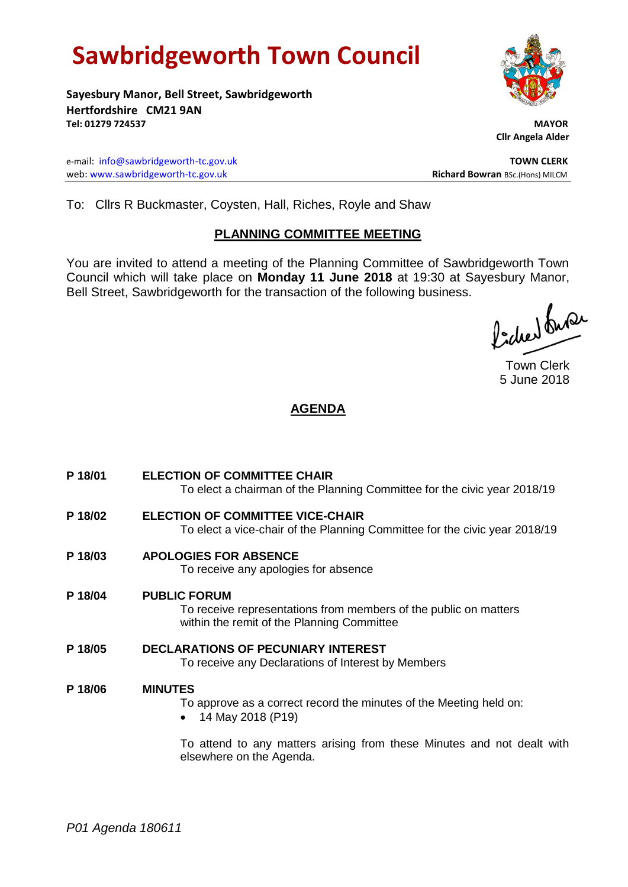# **Sawbridgeworth Town Council**

**Sayesbury Manor, Bell Street, Sawbridgeworth Hertfordshire CM21 9AN Tel: 01279 724537 MAYOR**

e-mail: [info@sawbridgeworth-tc.gov.uk](mailto:info@sawbridgeworth-tc.gov.uk) **TOWN CLERK** web: www.sawbridgeworth-tc.gov.uk **Richard Bowran** BSc.(Hons) MILCM



 **Cllr Angela Alder**

To: Cllrs R Buckmaster, Coysten, Hall, Riches, Royle and Shaw

## **PLANNING COMMITTEE MEETING**

You are invited to attend a meeting of the Planning Committee of Sawbridgeworth Town Council which will take place on **Monday 11 June 2018** at 19:30 at Sayesbury Manor, Bell Street, Sawbridgeworth for the transaction of the following business.

ladier buse

Town Clerk 5 June 2018

## **AGENDA**

**P 18/01 ELECTION OF COMMITTEE CHAIR** To elect a chairman of the Planning Committee for the civic year 2018/19 **P 18/02 ELECTION OF COMMITTEE VICE-CHAIR** To elect a vice-chair of the Planning Committee for the civic year 2018/19 **P 18/03 APOLOGIES FOR ABSENCE** To receive any apologies for absence **P 18/04 PUBLIC FORUM** To receive representations from members of the public on matters within the remit of the Planning Committee **P 18/05 DECLARATIONS OF PECUNIARY INTEREST** To receive any Declarations of Interest by Members **P 18/06 MINUTES** To approve as a correct record the minutes of the Meeting held on: • 14 May 2018 (P19) To attend to any matters arising from these Minutes and not dealt with

elsewhere on the Agenda.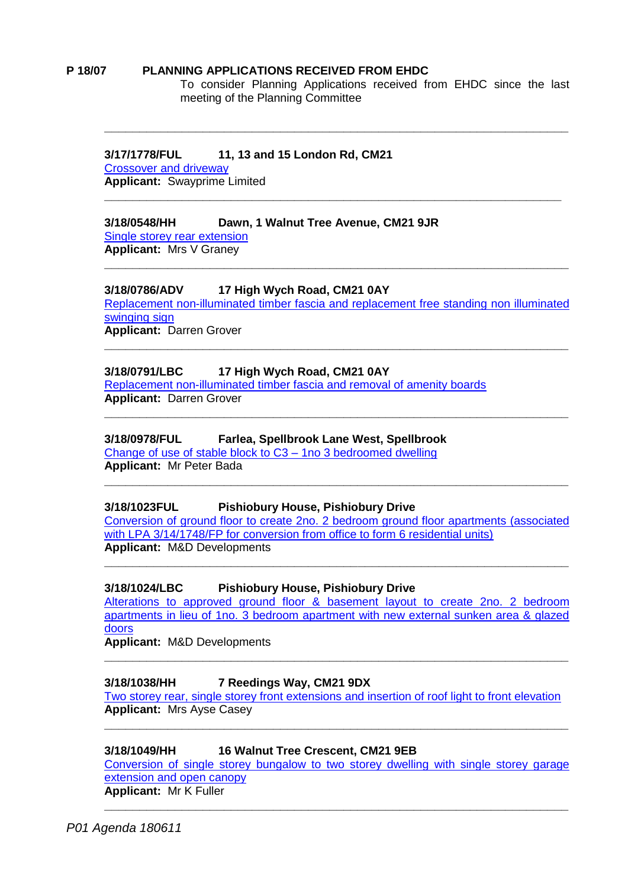#### **P 18/07 PLANNING APPLICATIONS RECEIVED FROM EHDC**

To consider Planning Applications received from EHDC since the last meeting of the Planning Committee

## **3/17/1778/FUL 11, 13 and 15 London Rd, CM21**

[Crossover and driveway](https://publicaccess.eastherts.gov.uk/online-applications/applicationDetails.do?keyVal=OTQM7NGLHV400&activeTab=summary) **Applicant:** Swayprime Limited

## **3/18/0548/HH Dawn, 1 Walnut Tree Avenue, CM21 9JR**

[Single storey rear extension](https://publicaccess.eastherts.gov.uk/online-applications/applicationDetails.do?activeTab=documents&keyVal=P5D7MXGLKWB00)  **Applicant:** Mrs V Graney

## **3/18/0786/ADV 17 High Wych Road, CM21 0AY**

[Replacement non-illuminated timber fascia and replacement free standing non illuminated](https://publicaccess.eastherts.gov.uk/online-applications/applicationDetails.do?activeTab=documents&keyVal=P6SZI1GLLAL00)  [swinging sign](https://publicaccess.eastherts.gov.uk/online-applications/applicationDetails.do?activeTab=documents&keyVal=P6SZI1GLLAL00) **Applicant:** Darren Grover

**\_\_\_\_\_\_\_\_\_\_\_\_\_\_\_\_\_\_\_\_\_\_\_\_\_\_\_\_\_\_\_\_\_\_\_\_\_\_\_\_\_\_\_\_\_\_\_\_\_\_\_\_\_\_\_\_\_\_\_\_\_\_\_\_\_\_**

**\_\_\_\_\_\_\_\_\_\_\_\_\_\_\_\_\_\_\_\_\_\_\_\_\_\_\_\_\_\_\_\_\_\_\_\_\_\_\_\_\_\_\_\_\_\_\_\_\_\_\_\_\_\_\_\_\_\_\_\_\_\_\_\_\_\_**

**\_\_\_\_\_\_\_\_\_\_\_\_\_\_\_\_\_\_\_\_\_\_\_\_\_\_\_\_\_\_\_\_\_\_\_\_\_\_\_\_\_\_\_\_\_\_\_\_\_\_\_\_\_\_\_\_\_\_\_\_\_\_\_\_\_\_**

**\_\_\_\_\_\_\_\_\_\_\_\_\_\_\_\_\_\_\_\_\_\_\_\_\_\_\_\_\_\_\_\_\_\_\_\_\_\_\_\_\_\_\_\_\_\_\_\_\_\_\_\_\_\_\_\_\_\_\_\_\_\_\_\_\_\_**

**\_\_\_\_\_\_\_\_\_\_\_\_\_\_\_\_\_\_\_\_\_\_\_\_\_\_\_\_\_\_\_\_\_\_\_\_\_\_\_\_\_\_\_\_\_\_\_\_\_\_\_\_\_\_\_\_\_\_\_\_\_\_\_\_\_**

## **3/18/0791/LBC 17 High Wych Road, CM21 0AY**

[Replacement non-illuminated timber fascia and removal of amenity boards](https://publicaccess.eastherts.gov.uk/online-applications/applicationDetails.do?activeTab=documents&keyVal=P6VGEHGLLB300) **Applicant:** Darren Grover

#### **3/18/0978/FUL Farlea, Spellbrook Lane West, Spellbrook**

[Change of use of stable block to C3 –](https://publicaccess.eastherts.gov.uk/online-applications/applicationDetails.do?activeTab=documents&keyVal=P7UBYNGLLNH00) 1no 3 bedroomed dwelling **Applicant:** Mr Peter Bada

## **3/18/1023FUL Pishiobury House, Pishiobury Drive**

[Conversion of ground floor to create 2no. 2 bedroom ground floor apartments \(associated](https://publicaccess.eastherts.gov.uk/online-applications/applicationDetails.do?activeTab=documents&keyVal=P85FY3GLLQO00)  [with LPA 3/14/1748/FP for conversion from office to form 6 residential units\)](https://publicaccess.eastherts.gov.uk/online-applications/applicationDetails.do?activeTab=documents&keyVal=P85FY3GLLQO00) **Applicant:** M&D Developments

**\_\_\_\_\_\_\_\_\_\_\_\_\_\_\_\_\_\_\_\_\_\_\_\_\_\_\_\_\_\_\_\_\_\_\_\_\_\_\_\_\_\_\_\_\_\_\_\_\_\_\_\_\_\_\_\_\_\_\_\_\_\_\_\_\_\_**

**\_\_\_\_\_\_\_\_\_\_\_\_\_\_\_\_\_\_\_\_\_\_\_\_\_\_\_\_\_\_\_\_\_\_\_\_\_\_\_\_\_\_\_\_\_\_\_\_\_\_\_\_\_\_\_\_\_\_\_\_\_\_\_\_\_\_**

## **3/18/1024/LBC Pishiobury House, Pishiobury Drive**

Alterations to approved ground floor & [basement layout to create 2no. 2 bedroom](https://publicaccess.eastherts.gov.uk/online-applications/applicationDetails.do?activeTab=documents&keyVal=P85FY5GLLQP00)  [apartments in lieu of 1no. 3 bedroom apartment with new external sunken area & glazed](https://publicaccess.eastherts.gov.uk/online-applications/applicationDetails.do?activeTab=documents&keyVal=P85FY5GLLQP00)  [doors](https://publicaccess.eastherts.gov.uk/online-applications/applicationDetails.do?activeTab=documents&keyVal=P85FY5GLLQP00)

**\_\_\_\_\_\_\_\_\_\_\_\_\_\_\_\_\_\_\_\_\_\_\_\_\_\_\_\_\_\_\_\_\_\_\_\_\_\_\_\_\_\_\_\_\_\_\_\_\_\_\_\_\_\_\_\_\_\_\_\_\_\_\_\_\_\_**

**Applicant:** M&D Developments

## **3/18/1038/HH 7 Reedings Way, CM21 9DX**

[Two storey rear, single storey front extensions and insertion of roof light to front elevation](https://publicaccess.eastherts.gov.uk/online-applications/applicationDetails.do?activeTab=documents&keyVal=P87AMAGLLRM00)  **Applicant:** Mrs Ayse Casey **\_\_\_\_\_\_\_\_\_\_\_\_\_\_\_\_\_\_\_\_\_\_\_\_\_\_\_\_\_\_\_\_\_\_\_\_\_\_\_\_\_\_\_\_\_\_\_\_\_\_\_\_\_\_\_\_\_\_\_\_\_\_\_\_\_\_**

## **3/18/1049/HH 16 Walnut Tree Crescent, CM21 9EB**

[Conversion of single storey bungalow to two storey dwelling with single storey garage](https://publicaccess.eastherts.gov.uk/online-applications/applicationDetails.do?activeTab=documents&keyVal=P8EPAHGLLSS00)  [extension and open canopy](https://publicaccess.eastherts.gov.uk/online-applications/applicationDetails.do?activeTab=documents&keyVal=P8EPAHGLLSS00)  **Applicant:** Mr K Fuller

**\_\_\_\_\_\_\_\_\_\_\_\_\_\_\_\_\_\_\_\_\_\_\_\_\_\_\_\_\_\_\_\_\_\_\_\_\_\_\_\_\_\_\_\_\_\_\_\_\_\_\_\_\_\_\_\_\_\_\_\_\_\_\_\_\_\_**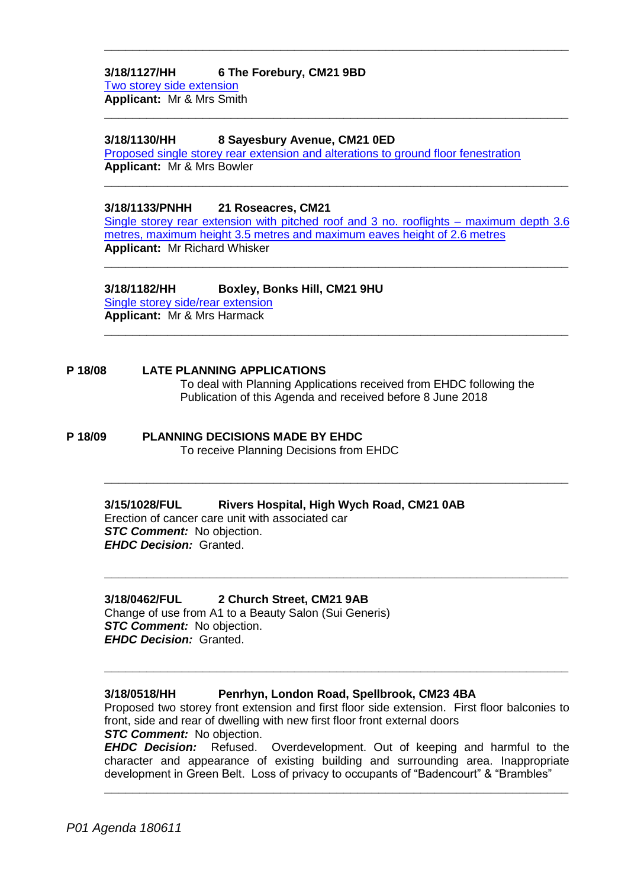**3/18/1127/HH 6 The Forebury, CM21 9BD** [Two storey side extension](https://publicaccess.eastherts.gov.uk/online-applications/applicationDetails.do?activeTab=documents&keyVal=P8TIN0GLLXY00) **Applicant:** Mr & Mrs Smith

#### **3/18/1130/HH 8 Sayesbury Avenue, CM21 0ED**

[Proposed single storey rear extension and alterations to ground floor fenestration](https://publicaccess.eastherts.gov.uk/online-applications/applicationDetails.do?keyVal=P8TINKGLLY700&activeTab=summary) **Applicant:** Mr & Mrs Bowler

**3/18/1133/PNHH 21 Roseacres, CM21** 

[Single storey rear extension with pitched roof and 3 no. rooflights –](https://publicaccess.eastherts.gov.uk/online-applications/applicationDetails.do?activeTab=documents&keyVal=P8TIQ8GL01P00) maximum depth 3.6 [metres, maximum height 3.5 metres and maximum eaves height of 2.6 metres](https://publicaccess.eastherts.gov.uk/online-applications/applicationDetails.do?activeTab=documents&keyVal=P8TIQ8GL01P00) **Applicant:** Mr Richard Whisker

**\_\_\_\_\_\_\_\_\_\_\_\_\_\_\_\_\_\_\_\_\_\_\_\_\_\_\_\_\_\_\_\_\_\_\_\_\_\_\_\_\_\_\_\_\_\_\_\_\_\_\_\_\_\_\_\_\_\_\_\_\_\_\_\_\_\_**

**\_\_\_\_\_\_\_\_\_\_\_\_\_\_\_\_\_\_\_\_\_\_\_\_\_\_\_\_\_\_\_\_\_\_\_\_\_\_\_\_\_\_\_\_\_\_\_\_\_\_\_\_\_\_\_\_\_\_\_\_\_\_\_\_\_\_**

**\_\_\_\_\_\_\_\_\_\_\_\_\_\_\_\_\_\_\_\_\_\_\_\_\_\_\_\_\_\_\_\_\_\_\_\_\_\_\_\_\_\_\_\_\_\_\_\_\_\_\_\_\_\_\_\_\_\_\_\_\_\_\_\_\_\_**

**\_\_\_\_\_\_\_\_\_\_\_\_\_\_\_\_\_\_\_\_\_\_\_\_\_\_\_\_\_\_\_\_\_\_\_\_\_\_\_\_\_\_\_\_\_\_\_\_\_\_\_\_\_\_\_\_\_\_\_\_\_\_\_\_\_\_**

**\_\_\_\_\_\_\_\_\_\_\_\_\_\_\_\_\_\_\_\_\_\_\_\_\_\_\_\_\_\_\_\_\_\_\_\_\_\_\_\_\_\_\_\_\_\_\_\_\_\_\_\_\_\_\_\_\_\_\_\_\_\_\_\_\_\_**

**\_\_\_\_\_\_\_\_\_\_\_\_\_\_\_\_\_\_\_\_\_\_\_\_\_\_\_\_\_\_\_\_\_\_\_\_\_\_\_\_\_\_\_\_\_\_\_\_\_\_\_\_\_\_\_\_\_\_\_\_\_\_\_\_\_\_**

**\_\_\_\_\_\_\_\_\_\_\_\_\_\_\_\_\_\_\_\_\_\_\_\_\_\_\_\_\_\_\_\_\_\_\_\_\_\_\_\_\_\_\_\_\_\_\_\_\_\_\_\_\_\_\_\_\_\_\_\_\_\_\_\_\_\_**

**3/18/1182/HH Boxley, Bonks Hill, CM21 9HU**  [Single storey side/rear extension](https://publicaccess.eastherts.gov.uk/online-applications/applicationDetails.do?keyVal=P931R2GL00X00&activeTab=summary) **Applicant:** Mr & Mrs Harmack

**P 18/08 LATE PLANNING APPLICATIONS** To deal with Planning Applications received from EHDC following the Publication of this Agenda and received before 8 June 2018

**P 18/09 PLANNING DECISIONS MADE BY EHDC** To receive Planning Decisions from EHDC

> **3/15/1028/FUL Rivers Hospital, High Wych Road, CM21 0AB** Erection of cancer care unit with associated car *STC Comment:* No objection. *EHDC Decision:* Granted.

**3/18/0462/FUL 2 Church Street, CM21 9AB** Change of use from A1 to a Beauty Salon (Sui Generis) *STC Comment:* No objection. *EHDC Decision:* Granted.

#### **3/18/0518/HH Penrhyn, London Road, Spellbrook, CM23 4BA**

Proposed two storey front extension and first floor side extension. First floor balconies to front, side and rear of dwelling with new first floor front external doors *STC Comment:* No objection.

**\_\_\_\_\_\_\_\_\_\_\_\_\_\_\_\_\_\_\_\_\_\_\_\_\_\_\_\_\_\_\_\_\_\_\_\_\_\_\_\_\_\_\_\_\_\_\_\_\_\_\_\_\_\_\_\_\_\_\_\_\_\_\_\_\_\_**

*EHDC Decision:* Refused. Overdevelopment. Out of keeping and harmful to the character and appearance of existing building and surrounding area. Inappropriate development in Green Belt. Loss of privacy to occupants of "Badencourt" & "Brambles"

**\_\_\_\_\_\_\_\_\_\_\_\_\_\_\_\_\_\_\_\_\_\_\_\_\_\_\_\_\_\_\_\_\_\_\_\_\_\_\_\_\_\_\_\_\_\_\_\_\_\_\_\_\_\_\_\_\_\_\_\_\_\_\_\_\_\_**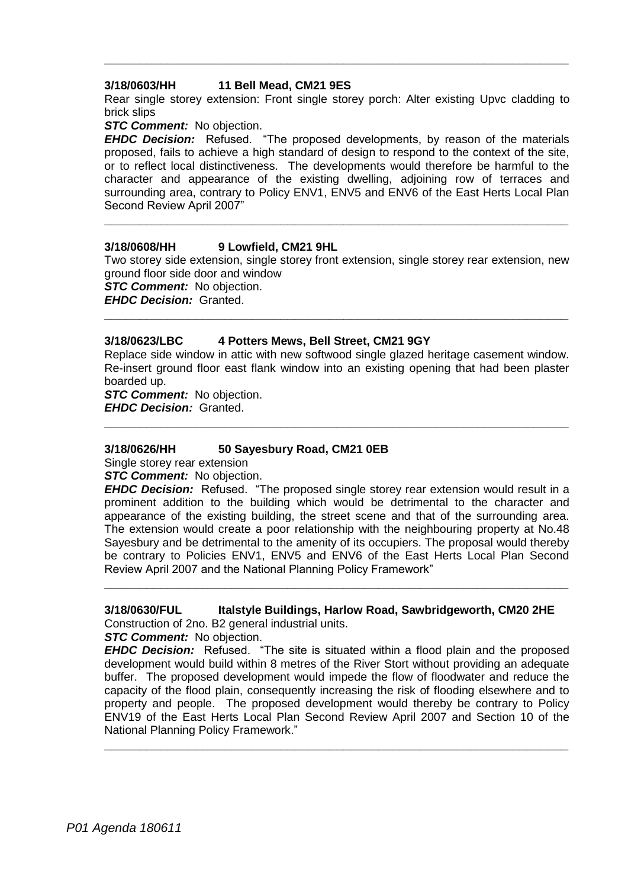#### **3/18/0603/HH 11 Bell Mead, CM21 9ES**

Rear single storey extension: Front single storey porch: Alter existing Upvc cladding to brick slips

**\_\_\_\_\_\_\_\_\_\_\_\_\_\_\_\_\_\_\_\_\_\_\_\_\_\_\_\_\_\_\_\_\_\_\_\_\_\_\_\_\_\_\_\_\_\_\_\_\_\_\_\_\_\_\_\_\_\_\_\_\_\_\_\_\_\_**

#### *STC Comment:* No objection.

*EHDC Decision:* Refused. "The proposed developments, by reason of the materials proposed, fails to achieve a high standard of design to respond to the context of the site, or to reflect local distinctiveness. The developments would therefore be harmful to the character and appearance of the existing dwelling, adjoining row of terraces and surrounding area, contrary to Policy ENV1, ENV5 and ENV6 of the East Herts Local Plan Second Review April 2007"

#### **3/18/0608/HH 9 Lowfield, CM21 9HL**

Two storey side extension, single storey front extension, single storey rear extension, new ground floor side door and window

**\_\_\_\_\_\_\_\_\_\_\_\_\_\_\_\_\_\_\_\_\_\_\_\_\_\_\_\_\_\_\_\_\_\_\_\_\_\_\_\_\_\_\_\_\_\_\_\_\_\_\_\_\_\_\_\_\_\_\_\_\_\_\_\_\_\_**

**\_\_\_\_\_\_\_\_\_\_\_\_\_\_\_\_\_\_\_\_\_\_\_\_\_\_\_\_\_\_\_\_\_\_\_\_\_\_\_\_\_\_\_\_\_\_\_\_\_\_\_\_\_\_\_\_\_\_\_\_\_\_\_\_\_\_**

*STC Comment:* No objection.

*EHDC Decision:* Granted.

#### **3/18/0623/LBC 4 Potters Mews, Bell Street, CM21 9GY**

Replace side window in attic with new softwood single glazed heritage casement window. Re-insert ground floor east flank window into an existing opening that had been plaster boarded up.

**\_\_\_\_\_\_\_\_\_\_\_\_\_\_\_\_\_\_\_\_\_\_\_\_\_\_\_\_\_\_\_\_\_\_\_\_\_\_\_\_\_\_\_\_\_\_\_\_\_\_\_\_\_\_\_\_\_\_\_\_\_\_\_\_\_\_**

*STC Comment:* No objection. *EHDC Decision:* Granted.

#### **3/18/0626/HH 50 Sayesbury Road, CM21 0EB**

Single storey rear extension

*STC Comment:* No objection.

*EHDC Decision:* Refused. "The proposed single storey rear extension would result in a prominent addition to the building which would be detrimental to the character and appearance of the existing building, the street scene and that of the surrounding area. The extension would create a poor relationship with the neighbouring property at No.48 Sayesbury and be detrimental to the amenity of its occupiers. The proposal would thereby be contrary to Policies ENV1, ENV5 and ENV6 of the East Herts Local Plan Second Review April 2007 and the National Planning Policy Framework"

## **3/18/0630/FUL Italstyle Buildings, Harlow Road, Sawbridgeworth, CM20 2HE**

**\_\_\_\_\_\_\_\_\_\_\_\_\_\_\_\_\_\_\_\_\_\_\_\_\_\_\_\_\_\_\_\_\_\_\_\_\_\_\_\_\_\_\_\_\_\_\_\_\_\_\_\_\_\_\_\_\_\_\_\_\_\_\_\_\_\_**

Construction of 2no. B2 general industrial units.

*STC Comment:* No objection.

*EHDC Decision:* Refused. "The site is situated within a flood plain and the proposed development would build within 8 metres of the River Stort without providing an adequate buffer. The proposed development would impede the flow of floodwater and reduce the capacity of the flood plain, consequently increasing the risk of flooding elsewhere and to property and people. The proposed development would thereby be contrary to Policy ENV19 of the East Herts Local Plan Second Review April 2007 and Section 10 of the National Planning Policy Framework."

**\_\_\_\_\_\_\_\_\_\_\_\_\_\_\_\_\_\_\_\_\_\_\_\_\_\_\_\_\_\_\_\_\_\_\_\_\_\_\_\_\_\_\_\_\_\_\_\_\_\_\_\_\_\_\_\_\_\_\_\_\_\_\_\_\_\_**